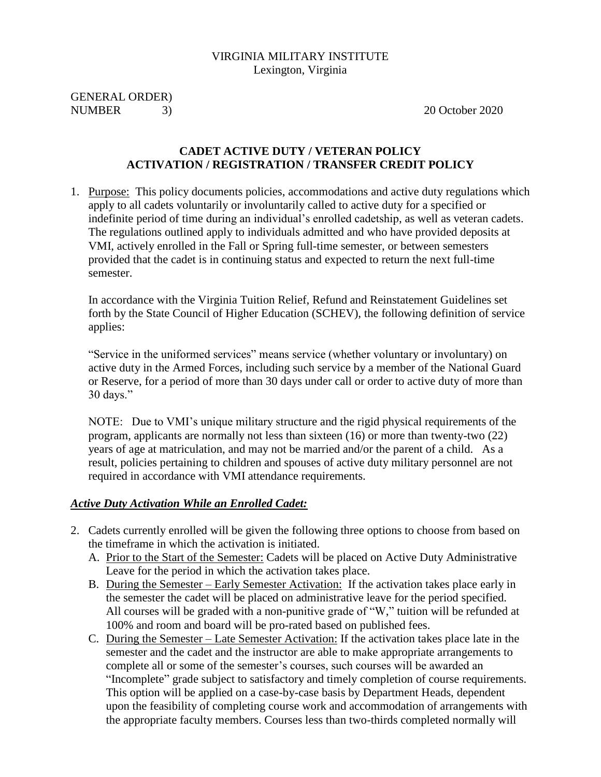#### VIRGINIA MILITARY INSTITUTE Lexington, Virginia

GENERAL ORDER) NUMBER 3) 20 October 2020

#### **CADET ACTIVE DUTY / VETERAN POLICY ACTIVATION / REGISTRATION / TRANSFER CREDIT POLICY**

1. Purpose: This policy documents policies, accommodations and active duty regulations which apply to all cadets voluntarily or involuntarily called to active duty for a specified or indefinite period of time during an individual's enrolled cadetship, as well as veteran cadets. The regulations outlined apply to individuals admitted and who have provided deposits at VMI, actively enrolled in the Fall or Spring full-time semester, or between semesters provided that the cadet is in continuing status and expected to return the next full-time semester.

In accordance with the Virginia Tuition Relief, Refund and Reinstatement Guidelines set forth by the State Council of Higher Education (SCHEV), the following definition of service applies:

"Service in the uniformed services" means service (whether voluntary or involuntary) on active duty in the Armed Forces, including such service by a member of the National Guard or Reserve, for a period of more than 30 days under call or order to active duty of more than 30 days."

NOTE: Due to VMI's unique military structure and the rigid physical requirements of the program, applicants are normally not less than sixteen (16) or more than twenty-two (22) years of age at matriculation, and may not be married and/or the parent of a child. As a result, policies pertaining to children and spouses of active duty military personnel are not required in accordance with VMI attendance requirements.

#### *Active Duty Activation While an Enrolled Cadet:*

- 2. Cadets currently enrolled will be given the following three options to choose from based on the timeframe in which the activation is initiated.
	- A. Prior to the Start of the Semester: Cadets will be placed on Active Duty Administrative Leave for the period in which the activation takes place.
	- B. During the Semester Early Semester Activation: If the activation takes place early in the semester the cadet will be placed on administrative leave for the period specified. All courses will be graded with a non-punitive grade of "W," tuition will be refunded at 100% and room and board will be pro-rated based on published fees.
	- C. During the Semester Late Semester Activation: If the activation takes place late in the semester and the cadet and the instructor are able to make appropriate arrangements to complete all or some of the semester's courses, such courses will be awarded an "Incomplete" grade subject to satisfactory and timely completion of course requirements. This option will be applied on a case-by-case basis by Department Heads, dependent upon the feasibility of completing course work and accommodation of arrangements with the appropriate faculty members. Courses less than two-thirds completed normally will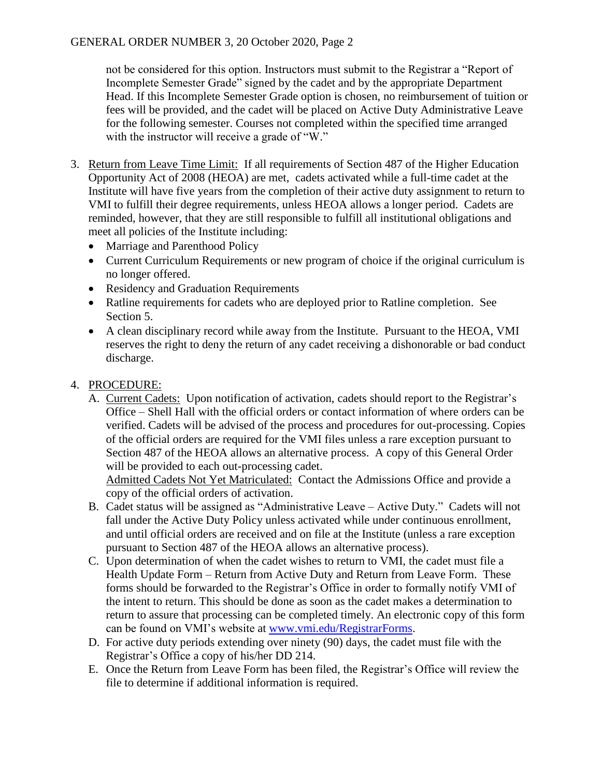not be considered for this option. Instructors must submit to the Registrar a "Report of Incomplete Semester Grade" signed by the cadet and by the appropriate Department Head. If this Incomplete Semester Grade option is chosen, no reimbursement of tuition or fees will be provided, and the cadet will be placed on Active Duty Administrative Leave for the following semester. Courses not completed within the specified time arranged with the instructor will receive a grade of "W."

- 3. Return from Leave Time Limit: If all requirements of Section 487 of the Higher Education Opportunity Act of 2008 (HEOA) are met, cadets activated while a full-time cadet at the Institute will have five years from the completion of their active duty assignment to return to VMI to fulfill their degree requirements, unless HEOA allows a longer period. Cadets are reminded, however, that they are still responsible to fulfill all institutional obligations and meet all policies of the Institute including:
	- Marriage and Parenthood Policy
	- Current Curriculum Requirements or new program of choice if the original curriculum is no longer offered.
	- Residency and Graduation Requirements
	- Ratline requirements for cadets who are deployed prior to Ratline completion. See Section 5.
	- A clean disciplinary record while away from the Institute. Pursuant to the HEOA, VMI reserves the right to deny the return of any cadet receiving a dishonorable or bad conduct discharge.
- 4. PROCEDURE:
	- A. Current Cadets: Upon notification of activation, cadets should report to the Registrar's Office – Shell Hall with the official orders or contact information of where orders can be verified. Cadets will be advised of the process and procedures for out-processing. Copies of the official orders are required for the VMI files unless a rare exception pursuant to Section 487 of the HEOA allows an alternative process. A copy of this General Order will be provided to each out-processing cadet.

Admitted Cadets Not Yet Matriculated: Contact the Admissions Office and provide a copy of the official orders of activation.

- B. Cadet status will be assigned as "Administrative Leave Active Duty." Cadets will not fall under the Active Duty Policy unless activated while under continuous enrollment, and until official orders are received and on file at the Institute (unless a rare exception pursuant to Section 487 of the HEOA allows an alternative process).
- C. Upon determination of when the cadet wishes to return to VMI, the cadet must file a Health Update Form – Return from Active Duty and Return from Leave Form. These forms should be forwarded to the Registrar's Office in order to formally notify VMI of the intent to return. This should be done as soon as the cadet makes a determination to return to assure that processing can be completed timely. An electronic copy of this form can be found on VMI's website at [www.vmi.edu/RegistrarForms.](http://www.vmi.edu/RegistrarForms)
- D. For active duty periods extending over ninety (90) days, the cadet must file with the Registrar's Office a copy of his/her DD 214.
- E. Once the Return from Leave Form has been filed, the Registrar's Office will review the file to determine if additional information is required.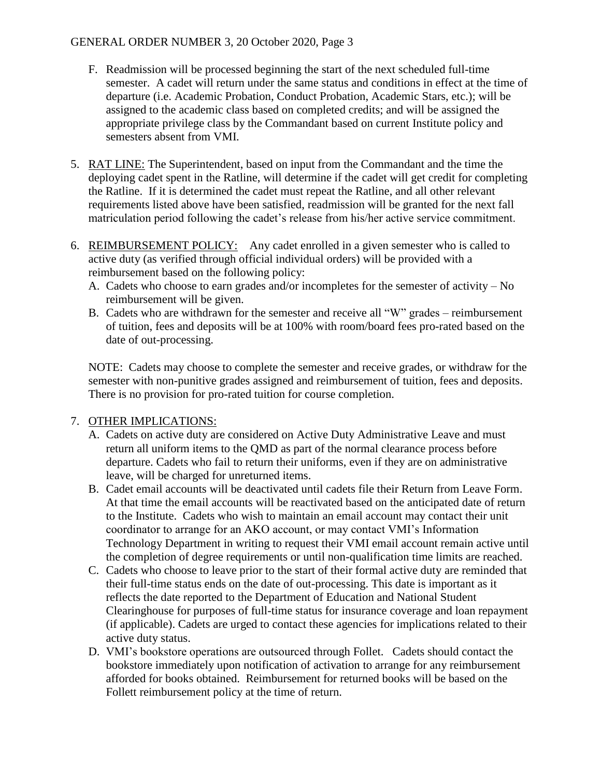#### GENERAL ORDER NUMBER 3, 20 October 2020, Page 3

- F. Readmission will be processed beginning the start of the next scheduled full-time semester. A cadet will return under the same status and conditions in effect at the time of departure (i.e. Academic Probation, Conduct Probation, Academic Stars, etc.); will be assigned to the academic class based on completed credits; and will be assigned the appropriate privilege class by the Commandant based on current Institute policy and semesters absent from VMI.
- 5. RAT LINE: The Superintendent, based on input from the Commandant and the time the deploying cadet spent in the Ratline, will determine if the cadet will get credit for completing the Ratline. If it is determined the cadet must repeat the Ratline, and all other relevant requirements listed above have been satisfied, readmission will be granted for the next fall matriculation period following the cadet's release from his/her active service commitment.
- 6. REIMBURSEMENT POLICY: Any cadet enrolled in a given semester who is called to active duty (as verified through official individual orders) will be provided with a reimbursement based on the following policy:
	- A. Cadets who choose to earn grades and/or incompletes for the semester of activity No reimbursement will be given.
	- B. Cadets who are withdrawn for the semester and receive all "W" grades reimbursement of tuition, fees and deposits will be at 100% with room/board fees pro-rated based on the date of out-processing.

NOTE: Cadets may choose to complete the semester and receive grades, or withdraw for the semester with non-punitive grades assigned and reimbursement of tuition, fees and deposits. There is no provision for pro-rated tuition for course completion.

#### 7. OTHER IMPLICATIONS:

- A. Cadets on active duty are considered on Active Duty Administrative Leave and must return all uniform items to the QMD as part of the normal clearance process before departure. Cadets who fail to return their uniforms, even if they are on administrative leave, will be charged for unreturned items.
- B. Cadet email accounts will be deactivated until cadets file their Return from Leave Form. At that time the email accounts will be reactivated based on the anticipated date of return to the Institute. Cadets who wish to maintain an email account may contact their unit coordinator to arrange for an AKO account, or may contact VMI's Information Technology Department in writing to request their VMI email account remain active until the completion of degree requirements or until non-qualification time limits are reached.
- C. Cadets who choose to leave prior to the start of their formal active duty are reminded that their full-time status ends on the date of out-processing. This date is important as it reflects the date reported to the Department of Education and National Student Clearinghouse for purposes of full-time status for insurance coverage and loan repayment (if applicable). Cadets are urged to contact these agencies for implications related to their active duty status.
- D. VMI's bookstore operations are outsourced through Follet. Cadets should contact the bookstore immediately upon notification of activation to arrange for any reimbursement afforded for books obtained. Reimbursement for returned books will be based on the Follett reimbursement policy at the time of return.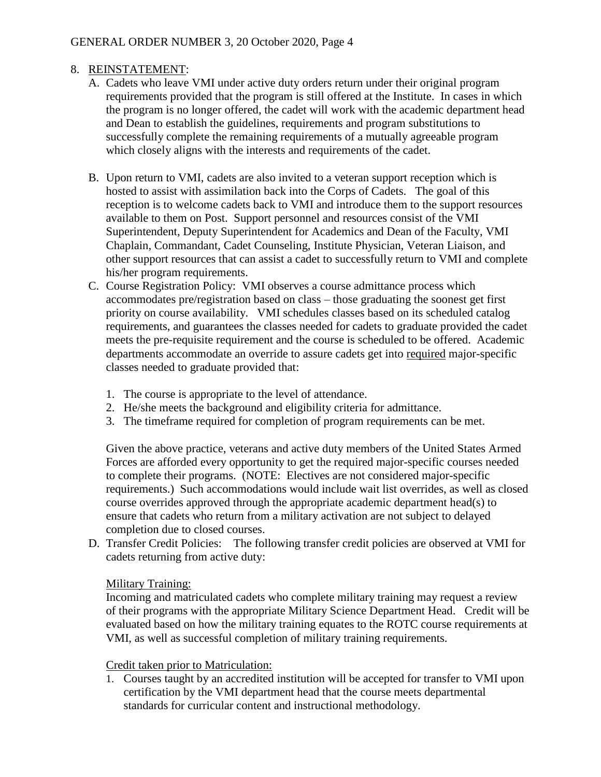#### 8. REINSTATEMENT:

- A. Cadets who leave VMI under active duty orders return under their original program requirements provided that the program is still offered at the Institute. In cases in which the program is no longer offered, the cadet will work with the academic department head and Dean to establish the guidelines, requirements and program substitutions to successfully complete the remaining requirements of a mutually agreeable program which closely aligns with the interests and requirements of the cadet.
- B. Upon return to VMI, cadets are also invited to a veteran support reception which is hosted to assist with assimilation back into the Corps of Cadets. The goal of this reception is to welcome cadets back to VMI and introduce them to the support resources available to them on Post. Support personnel and resources consist of the VMI Superintendent, Deputy Superintendent for Academics and Dean of the Faculty, VMI Chaplain, Commandant, Cadet Counseling, Institute Physician, Veteran Liaison, and other support resources that can assist a cadet to successfully return to VMI and complete his/her program requirements.
- C. Course Registration Policy: VMI observes a course admittance process which accommodates pre/registration based on class – those graduating the soonest get first priority on course availability. VMI schedules classes based on its scheduled catalog requirements, and guarantees the classes needed for cadets to graduate provided the cadet meets the pre-requisite requirement and the course is scheduled to be offered. Academic departments accommodate an override to assure cadets get into required major-specific classes needed to graduate provided that:
	- 1. The course is appropriate to the level of attendance.
	- 2. He/she meets the background and eligibility criteria for admittance.
	- 3. The timeframe required for completion of program requirements can be met.

Given the above practice, veterans and active duty members of the United States Armed Forces are afforded every opportunity to get the required major-specific courses needed to complete their programs. (NOTE: Electives are not considered major-specific requirements.) Such accommodations would include wait list overrides, as well as closed course overrides approved through the appropriate academic department head(s) to ensure that cadets who return from a military activation are not subject to delayed completion due to closed courses.

D. Transfer Credit Policies: The following transfer credit policies are observed at VMI for cadets returning from active duty:

#### Military Training:

Incoming and matriculated cadets who complete military training may request a review of their programs with the appropriate Military Science Department Head. Credit will be evaluated based on how the military training equates to the ROTC course requirements at VMI, as well as successful completion of military training requirements.

#### Credit taken prior to Matriculation:

1. Courses taught by an accredited institution will be accepted for transfer to VMI upon certification by the VMI department head that the course meets departmental standards for curricular content and instructional methodology.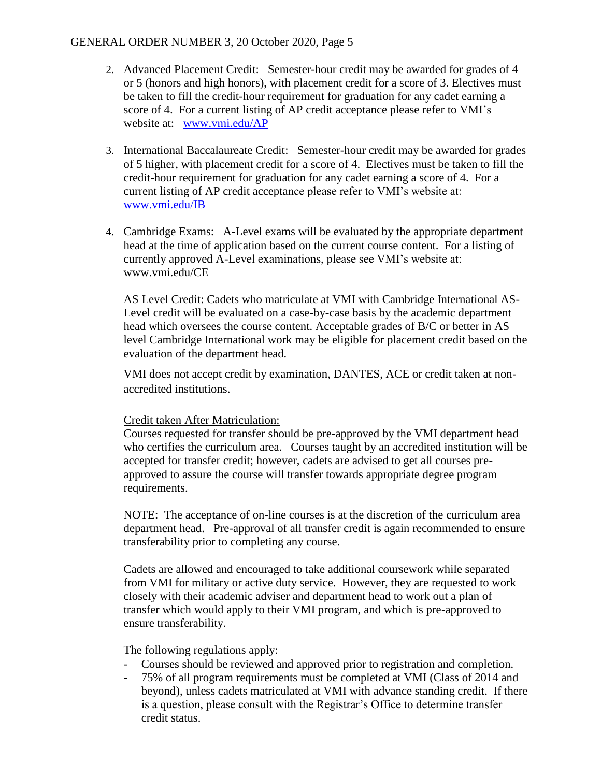#### GENERAL ORDER NUMBER 3, 20 October 2020, Page 5

- 2. Advanced Placement Credit: Semester-hour credit may be awarded for grades of 4 or 5 (honors and high honors), with placement credit for a score of 3. Electives must be taken to fill the credit-hour requirement for graduation for any cadet earning a score of 4. For a current listing of AP credit acceptance please refer to VMI's website at: [www.vmi.edu/AP](http://www.vmi.edu/admissions-and-aid/appointed-students/advanced-placement/)
- 3. International Baccalaureate Credit: Semester-hour credit may be awarded for grades of 5 higher, with placement credit for a score of 4. Electives must be taken to fill the credit-hour requirement for graduation for any cadet earning a score of 4. For a current listing of AP credit acceptance please refer to VMI's website at: [www.vmi.edu/IB](http://www.vmi.edu/IB)
- 4. Cambridge Exams: A-Level exams will be evaluated by the appropriate department head at the time of application based on the current course content. For a listing of currently approved A-Level examinations, please see VMI's website at: [www.vmi.edu/CE](http://www.vmi.edu/admissions-and-aid/appointed-students/advanced-placement/)

AS Level Credit: Cadets who matriculate at VMI with Cambridge International AS-Level credit will be evaluated on a case-by-case basis by the academic department head which oversees the course content. Acceptable grades of B/C or better in AS level Cambridge International work may be eligible for placement credit based on the evaluation of the department head.

VMI does not accept credit by examination, DANTES, ACE or credit taken at nonaccredited institutions.

#### Credit taken After Matriculation:

Courses requested for transfer should be pre-approved by the VMI department head who certifies the curriculum area. Courses taught by an accredited institution will be accepted for transfer credit; however, cadets are advised to get all courses preapproved to assure the course will transfer towards appropriate degree program requirements.

NOTE: The acceptance of on-line courses is at the discretion of the curriculum area department head. Pre-approval of all transfer credit is again recommended to ensure transferability prior to completing any course.

Cadets are allowed and encouraged to take additional coursework while separated from VMI for military or active duty service. However, they are requested to work closely with their academic adviser and department head to work out a plan of transfer which would apply to their VMI program, and which is pre-approved to ensure transferability.

The following regulations apply:

- Courses should be reviewed and approved prior to registration and completion.
- 75% of all program requirements must be completed at VMI (Class of 2014 and beyond), unless cadets matriculated at VMI with advance standing credit. If there is a question, please consult with the Registrar's Office to determine transfer credit status.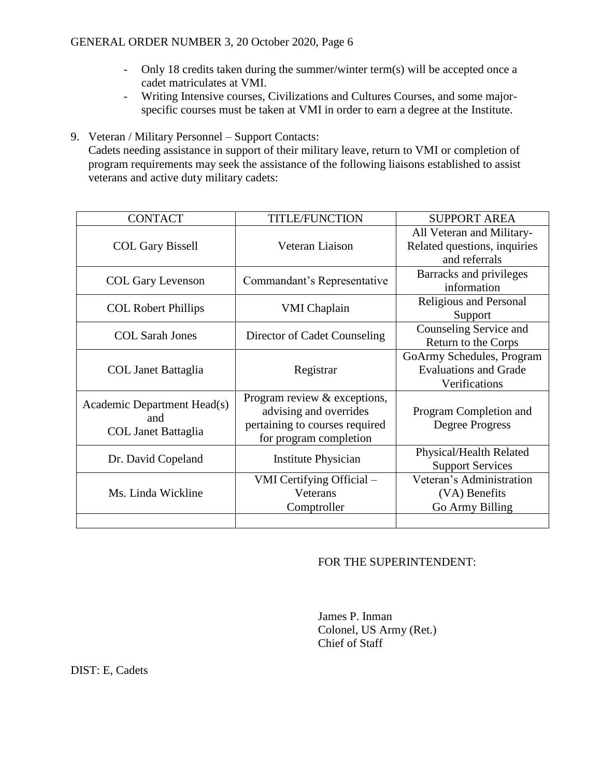- Only 18 credits taken during the summer/winter term(s) will be accepted once a cadet matriculates at VMI.
- Writing Intensive courses, Civilizations and Cultures Courses, and some majorspecific courses must be taken at VMI in order to earn a degree at the Institute.
- 9. Veteran / Military Personnel Support Contacts: Cadets needing assistance in support of their military leave, return to VMI or completion of program requirements may seek the assistance of the following liaisons established to assist veterans and active duty military cadets:

| <b>CONTACT</b>                                                   | <b>TITLE/FUNCTION</b>                                                                                              | <b>SUPPORT AREA</b>                                                        |
|------------------------------------------------------------------|--------------------------------------------------------------------------------------------------------------------|----------------------------------------------------------------------------|
| <b>COL Gary Bissell</b>                                          | Veteran Liaison                                                                                                    | All Veteran and Military-<br>Related questions, inquiries<br>and referrals |
| <b>COL Gary Levenson</b>                                         | Commandant's Representative                                                                                        | Barracks and privileges<br>information                                     |
| <b>COL Robert Phillips</b>                                       | <b>VMI</b> Chaplain                                                                                                | Religious and Personal<br>Support                                          |
| <b>COL Sarah Jones</b>                                           | Director of Cadet Counseling                                                                                       | Counseling Service and<br>Return to the Corps                              |
| <b>COL Janet Battaglia</b>                                       | Registrar                                                                                                          | GoArmy Schedules, Program<br><b>Evaluations and Grade</b><br>Verifications |
| Academic Department Head(s)<br>and<br><b>COL Janet Battaglia</b> | Program review & exceptions,<br>advising and overrides<br>pertaining to courses required<br>for program completion | Program Completion and<br>Degree Progress                                  |
| Dr. David Copeland                                               | Institute Physician                                                                                                | Physical/Health Related<br><b>Support Services</b>                         |
| Ms. Linda Wickline                                               | VMI Certifying Official –<br>Veterans<br>Comptroller                                                               | Veteran's Administration<br>(VA) Benefits<br>Go Army Billing               |
|                                                                  |                                                                                                                    |                                                                            |

#### FOR THE SUPERINTENDENT:

James P. Inman Colonel, US Army (Ret.) Chief of Staff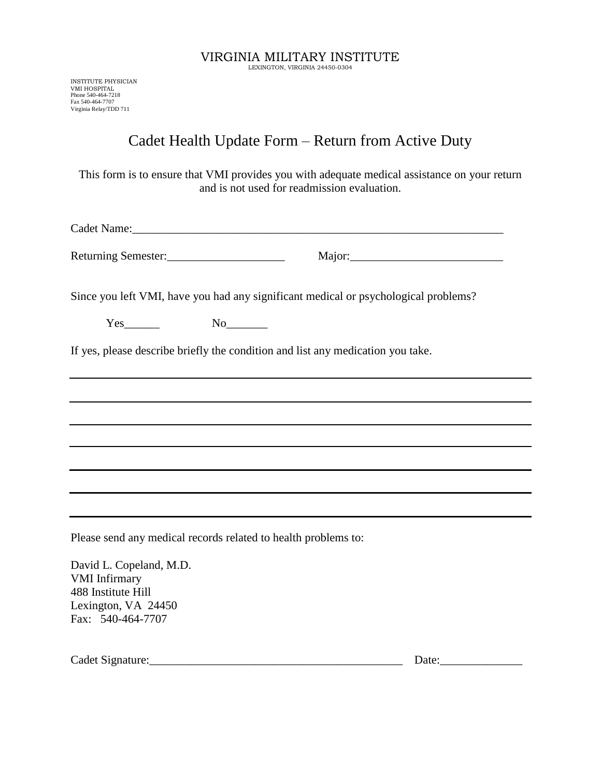INSTITUTE PHYSICIAN VMI HOSPITAL Phone 540-464-7218 Fax 540-464-7707 Virginia Relay/TDD 711

### Cadet Health Update Form – Return from Active Duty

This form is to ensure that VMI provides you with adequate medical assistance on your return and is not used for readmission evaluation.

| Cadet Name: |  |  |
|-------------|--|--|
|             |  |  |

Returning Semester:\_\_\_\_\_\_\_\_\_\_\_\_\_\_\_\_\_\_\_\_ Major:\_\_\_\_\_\_\_\_\_\_\_\_\_\_\_\_\_\_\_\_\_\_\_\_\_\_

Since you left VMI, have you had any significant medical or psychological problems?

| ד א<br>- |  |
|----------|--|
|----------|--|

If yes, please describe briefly the condition and list any medication you take.

Please send any medical records related to health problems to:

David L. Copeland, M.D. VMI Infirmary 488 Institute Hill Lexington, VA 24450 Fax: 540-464-7707

Cadet Signature:\_\_\_\_\_\_\_\_\_\_\_\_\_\_\_\_\_\_\_\_\_\_\_\_\_\_\_\_\_\_\_\_\_\_\_\_\_\_\_\_\_\_\_ Date:\_\_\_\_\_\_\_\_\_\_\_\_\_\_